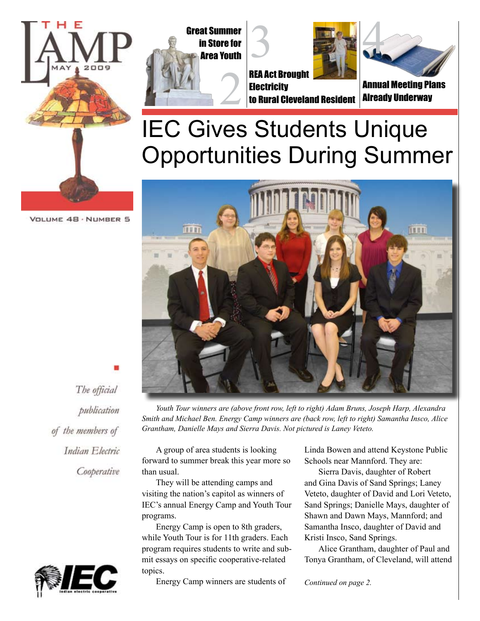







**Electricity** to Rural Cleveland Resident



Annual Meeting Plans Already Underway

## IEC Gives Students Unique Opportunities During Summer

VOLUME 48 · NUMBER 5



*Youth Tour winners are (above front row, left to right) Adam Bruns, Joseph Harp, Alexandra Smith and Michael Ben. Energy Camp winners are (back row, left to right) Samantha Insco, Alice Grantham, Danielle Mays and Sierra Davis. Not pictured is Laney Veteto.*

A group of area students is looking forward to summer break this year more so than usual.

They will be attending camps and visiting the nation's capitol as winners of IEC's annual Energy Camp and Youth Tour programs.

Energy Camp is open to 8th graders, while Youth Tour is for 11th graders. Each program requires students to write and submit essays on specific cooperative-related topics.

Energy Camp winners are students of

Linda Bowen and attend Keystone Public Schools near Mannford. They are:

Sierra Davis, daughter of Robert and Gina Davis of Sand Springs; Laney Veteto, daughter of David and Lori Veteto, Sand Springs; Danielle Mays, daughter of Shawn and Dawn Mays, Mannford; and Samantha Insco, daughter of David and Kristi Insco, Sand Springs.

Alice Grantham, daughter of Paul and Tonya Grantham, of Cleveland, will attend

*Continued on page 2.*



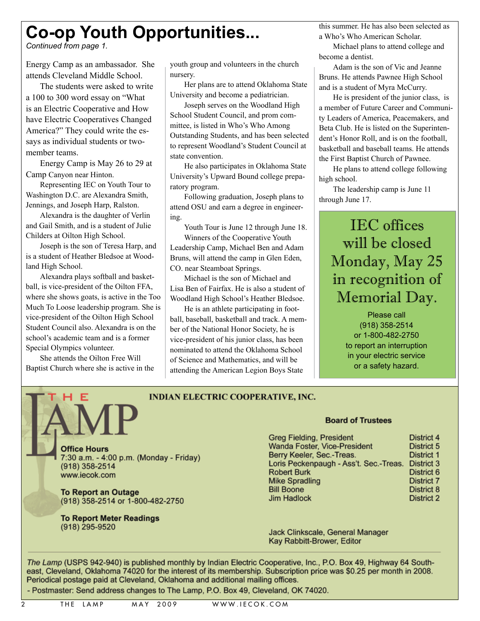### **Co-op Youth Opportunities...**

*Continued from page 1.*

Energy Camp as an ambassador. She attends Cleveland Middle School.

The students were asked to write a 100 to 300 word essay on "What is an Electric Cooperative and How have Electric Cooperatives Changed America?" They could write the essays as individual students or twomember teams.

Energy Camp is May 26 to 29 at Camp Canyon near Hinton.

Representing IEC on Youth Tour to Washington D.C. are Alexandra Smith, Jennings, and Joseph Harp, Ralston.

Alexandra is the daughter of Verlin and Gail Smith, and is a student of Julie Childers at Oilton High School.

Joseph is the son of Teresa Harp, and is a student of Heather Bledsoe at Woodland High School.

Alexandra plays softball and basketball, is vice-president of the Oilton FFA, where she shows goats, is active in the Too Much To Loose leadership program. She is vice-president of the Oilton High School Student Council also. Alexandra is on the school's academic team and is a former Special Olympics volunteer.

She attends the Oilton Free Will Baptist Church where she is active in the youth group and volunteers in the church nursery.

Her plans are to attend Oklahoma State University and become a pediatrician.

Joseph serves on the Woodland High School Student Council, and prom committee, is listed in Who's Who Among Outstanding Students, and has been selected to represent Woodland's Student Council at state convention.

He also participates in Oklahoma State University's Upward Bound college preparatory program.

Following graduation, Joseph plans to attend OSU and earn a degree in engineering.

Youth Tour is June 12 through June 18. Winners of the Cooperative Youth Leadership Camp, Michael Ben and Adam Bruns, will attend the camp in Glen Eden, CO. near Steamboat Springs.

Michael is the son of Michael and Lisa Ben of Fairfax. He is also a student of Woodland High School's Heather Bledsoe.

He is an athlete participating in football, baseball, basketball and track. A member of the National Honor Society, he is vice-president of his junior class, has been nominated to attend the Oklahoma School of Science and Mathematics, and will be attending the American Legion Boys State

this summer. He has also been selected as a Who's Who American Scholar.

Michael plans to attend college and become a dentist.

Adam is the son of Vic and Jeanne Bruns. He attends Pawnee High School and is a student of Myra McCurry.

He is president of the junior class, is a member of Future Career and Community Leaders of America, Peacemakers, and Beta Club. He is listed on the Superintendent's Honor Roll, and is on the football, basketball and baseball teams. He attends the First Baptist Church of Pawnee.

He plans to attend college following high school.

The leadership camp is June 11 through June 17.

### IEC offices will be closed Monday, May 25 in recognition of Memorial Day.

Please call (918) 358-2514 or 1-800-482-2750 to report an interruption in your electric service or a safety hazard.

#### **INDIAN ELECTRIC COOPERATIVE, INC.**

**Office Hours** 7:30 a.m. - 4:00 p.m. (Monday - Friday) (918) 358-2514 www.iecok.com

**To Report an Outage** (918) 358-2514 or 1-800-482-2750

**To Report Meter Readings** (918) 295-9520

#### **Board of Trustees**

| <b>Greg Fielding, President</b>        | District 4        |
|----------------------------------------|-------------------|
| Wanda Foster, Vice-President           | District 5        |
| Berry Keeler, Sec.-Treas.              | District 1        |
| Loris Peckenpaugh - Ass't. Sec.-Treas. | District 3        |
| <b>Robert Burk</b>                     | District 6        |
| <b>Mike Spradling</b>                  | <b>District 7</b> |
| <b>Bill Boone</b>                      | District 8        |
| <b>Jim Hadlock</b>                     | <b>District 2</b> |

Jack Clinkscale, General Manager Kay Rabbitt-Brower, Editor

The Lamp (USPS 942-940) is published monthly by Indian Electric Cooperative, Inc., P.O. Box 49, Highway 64 Southeast, Cleveland, Oklahoma 74020 for the interest of its membership. Subscription price was \$0.25 per month in 2008. Periodical postage paid at Cleveland, Oklahoma and additional mailing offices.

- Postmaster: Send address changes to The Lamp, P.O. Box 49, Cleveland, OK 74020.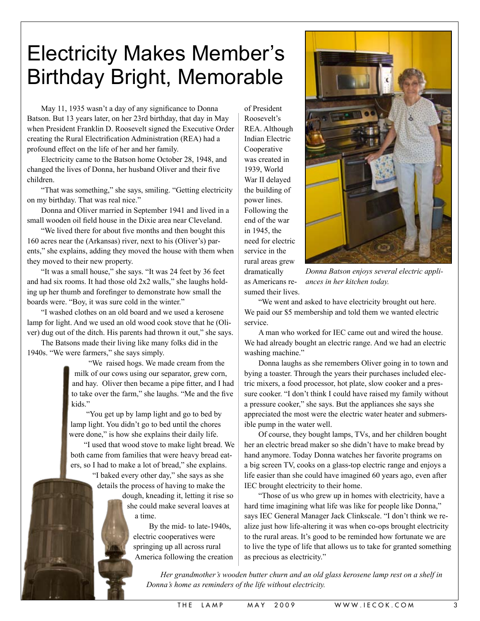## Electricity Makes Member's Birthday Bright, Memorable

May 11, 1935 wasn't a day of any significance to Donna Batson. But 13 years later, on her 23rd birthday, that day in May when President Franklin D. Roosevelt signed the Executive Order creating the Rural Electrification Administration (REA) had a profound effect on the life of her and her family.

Electricity came to the Batson home October 28, 1948, and changed the lives of Donna, her husband Oliver and their five children.

"That was something," she says, smiling. "Getting electricity on my birthday. That was real nice."

Donna and Oliver married in September 1941 and lived in a small wooden oil field house in the Dixie area near Cleveland.

"We lived there for about five months and then bought this 160 acres near the (Arkansas) river, next to his (Oliver's) parents," she explains, adding they moved the house with them when they moved to their new property.

"It was a small house," she says. "It was 24 feet by 36 feet and had six rooms. It had those old 2x2 walls," she laughs holding up her thumb and forefinger to demonstrate how small the boards were. "Boy, it was sure cold in the winter."

"I washed clothes on an old board and we used a kerosene lamp for light. And we used an old wood cook stove that he (Oliver) dug out of the ditch. His parents had thrown it out," she says.

The Batsons made their living like many folks did in the 1940s. "We were farmers," she says simply.

> "We raised hogs. We made cream from the milk of our cows using our separator, grew corn, and hay. Oliver then became a pipe fitter, and I had to take over the farm," she laughs. "Me and the five kids."

"You get up by lamp light and go to bed by lamp light. You didn't go to bed until the chores were done," is how she explains their daily life.

"I used that wood stove to make light bread. We both came from families that were heavy bread eaters, so I had to make a lot of bread," she explains.

> "I baked every other day," she says as she details the process of having to make the

dough, kneading it, letting it rise so she could make several loaves at a time.

By the mid- to late-1940s, electric cooperatives were springing up all across rural America following the creation

of President Roosevelt's REA. Although Indian Electric Cooperative was created in 1939, World War II delayed the building of power lines. Following the end of the war in 1945, the need for electric service in the rural areas grew dramatically as Americans resumed their lives.



*Donna Batson enjoys several electric appliances in her kitchen today.*

"We went and asked to have electricity brought out here. We paid our \$5 membership and told them we wanted electric service.

A man who worked for IEC came out and wired the house. We had already bought an electric range. And we had an electric washing machine."

Donna laughs as she remembers Oliver going in to town and bying a toaster. Through the years their purchases included electric mixers, a food processor, hot plate, slow cooker and a pressure cooker. "I don't think I could have raised my family without a pressure cooker," she says. But the appliances she says she appreciated the most were the electric water heater and submersible pump in the water well.

Of course, they bought lamps, TVs, and her children bought her an electric bread maker so she didn't have to make bread by hand anymore. Today Donna watches her favorite programs on a big screen TV, cooks on a glass-top electric range and enjoys a life easier than she could have imagined 60 years ago, even after IEC brought electricity to their home.

"Those of us who grew up in homes with electricity, have a hard time imagining what life was like for people like Donna," says IEC General Manager Jack Clinkscale. "I don't think we realize just how life-altering it was when co-ops brought electricity to the rural areas. It's good to be reminded how fortunate we are to live the type of life that allows us to take for granted something as precious as electricity."

*Her grandmother's wooden butter churn and an old glass kerosene lamp rest on a shelf in Donna's home as reminders of the life without electricity.*